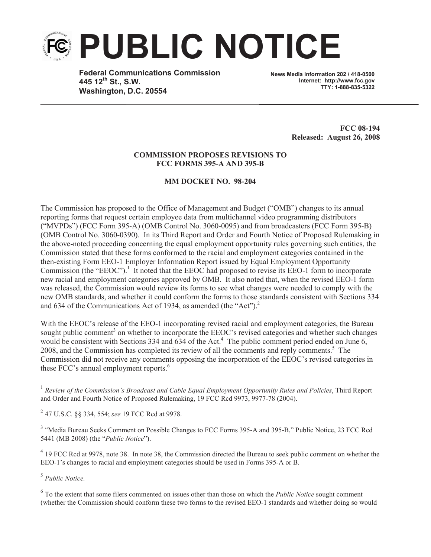

**Federal Communications Commission 445 12th St., S.W. Washington, D.C. 20554**

**News Media Information 202 / 418-0500 Internet: http://www.fcc.gov TTY: 1-888-835-5322**

> **FCC 08-194 Released: August 26, 2008**

## **COMMISSION PROPOSES REVISIONS TO FCC FORMS 395-A AND 395-B**

## **MM DOCKET NO. 98-204**

The Commission has proposed to the Office of Management and Budget ("OMB") changes to its annual reporting forms that request certain employee data from multichannel video programming distributors ("MVPDs") (FCC Form 395-A) (OMB Control No. 3060-0095) and from broadcasters (FCC Form 395-B) (OMB Control No. 3060-0390). In its Third Report and Order and Fourth Notice of Proposed Rulemaking in the above-noted proceeding concerning the equal employment opportunity rules governing such entities, the Commission stated that these forms conformed to the racial and employment categories contained in the then-existing Form EEO-1 Employer Information Report issued by Equal Employment Opportunity Commission (the "EEOC").<sup>1</sup> It noted that the EEOC had proposed to revise its EEO-1 form to incorporate new racial and employment categories approved by OMB. It also noted that, when the revised EEO-1 form was released, the Commission would review its forms to see what changes were needed to comply with the new OMB standards, and whether it could conform the forms to those standards consistent with Sections 334 and 634 of the Communications Act of 1934, as amended (the "Act").<sup>2</sup>

With the EEOC's release of the EEO-1 incorporating revised racial and employment categories, the Bureau sought public comment<sup>3</sup> on whether to incorporate the EEOC's revised categories and whether such changes would be consistent with Sections 334 and  $\overline{6}34$  of the Act.<sup>4</sup> The public comment period ended on June 6, 2008, and the Commission has completed its review of all the comments and reply comments.<sup>5</sup> The Commission did not receive any comments opposing the incorporation of the EEOC's revised categories in these FCC's annual employment reports.<sup>6</sup>

<sup>3</sup> "Media Bureau Seeks Comment on Possible Changes to FCC Forms 395-A and 395-B," Public Notice, 23 FCC Rcd 5441 (MB 2008) (the "*Public Notice*").

<sup>4</sup> 19 FCC Rcd at 9978, note 38. In note 38, the Commission directed the Bureau to seek public comment on whether the EEO-1's changes to racial and employment categories should be used in Forms 395-A or B.

5 *Public Notice.*

6 To the extent that some filers commented on issues other than those on which the *Public Notice* sought comment (whether the Commission should conform these two forms to the revised EEO-1 standards and whether doing so would

<sup>1</sup> *Review of the Commission's Broadcast and Cable Equal Employment Opportunity Rules and Policies*, Third Report and Order and Fourth Notice of Proposed Rulemaking, 19 FCC Rcd 9973, 9977-78 (2004).

<sup>2</sup> 47 U.S.C. §§ 334, 554; *see* 19 FCC Rcd at 9978.